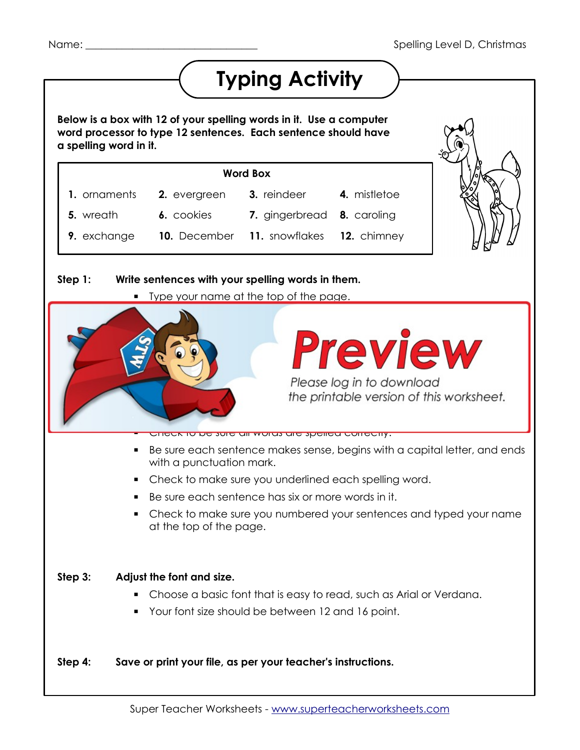## **Typing Activity**

 **Below is a box with 12 of your spelling words in it. Use a computer word processor to type 12 sentences. Each sentence should have a spelling word in it.**

|              | <b>Word Box</b> |                                         |              |
|--------------|-----------------|-----------------------------------------|--------------|
| 1. ornaments | 2. evergreen    | 3. reindeer                             | 4. mistletoe |
| 5. wreath    | 6. cookies      | 7. gingerbread 8. caroling              |              |
| 9. exchange  |                 | 10. December 11. snowflakes 12. chimney |              |



## **Step 1: Write sentences with your spelling words in them.** Type your name at the top of the page.  $\blacksquare$  $\blacktriangle$  in it. The sentence should have at least six words in it.  $\mathbf{F}$   $\mathbf{A}$   $\mathbf{A}$   $\mathbf{A}$   $\mathbf{A}$  $\mathbf{v}$  underline the specific word in each sentence. Please log in to download the printable version of this worksheet. *Step 2: Pro* ▪ Check to be sure all words are spelled correctly. ■ Be sure each sentence makes sense, begins with a capital letter, and ends with a punctuation mark. ■ Check to make sure you underlined each spelling word. ■ Be sure each sentence has six or more words in it. ▪ Check to make sure you numbered your sentences and typed your name at the top of the page.  **Step 3: Adjust the font and size.** ▪ Choose a basic font that is easy to read, such as Arial or Verdana. ■ Your font size should be between 12 and 16 point.  **Step 4: Save or print your file, as per your teacher's instructions.** Super Teacher Worksheets - [www.superteacherworksheets.com](http://www.superteacherworksheets.com/)